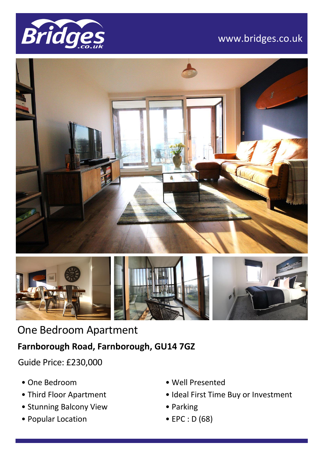

## www.bridges.co.uk





# One Bedroom Apartment

### **Farnborough Road, Farnborough, GU14 7GZ**

Guide Price: £230,000

- One Bedroom
- Third Floor Apartment
- Stunning Balcony View
- Popular Location
- Well Presented
- Ideal First Time Buy or Investment
- Parking
- EPC : D (68)